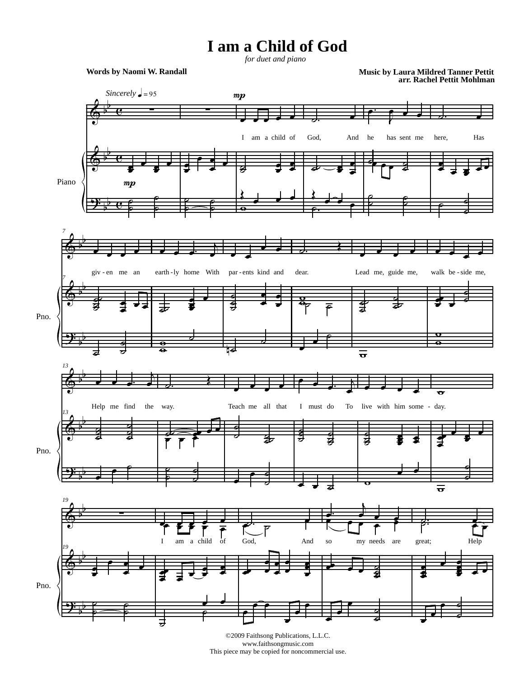## **I am a Child of God**

*for duet and piano*

**arr. Rachel Pettit Mohlman Words by Naomi W. Randall Music by Laura Mildred Tanner Pettit**



©2009 Faithsong Publications, L.L.C. www.faithsongmusic.com This piece may be copied for noncommercial use.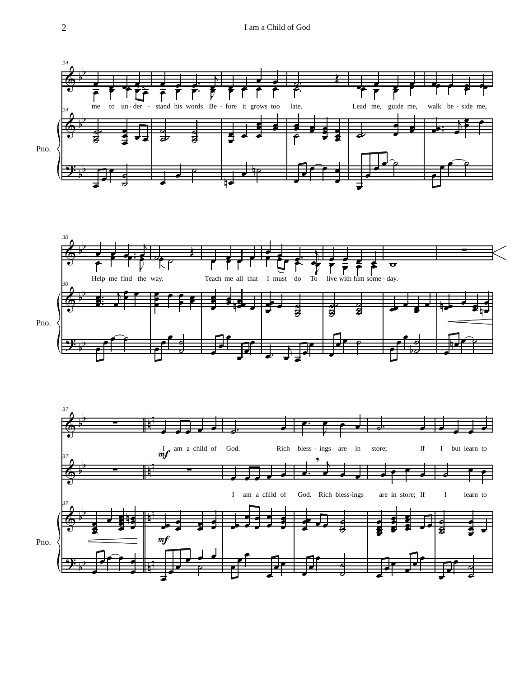